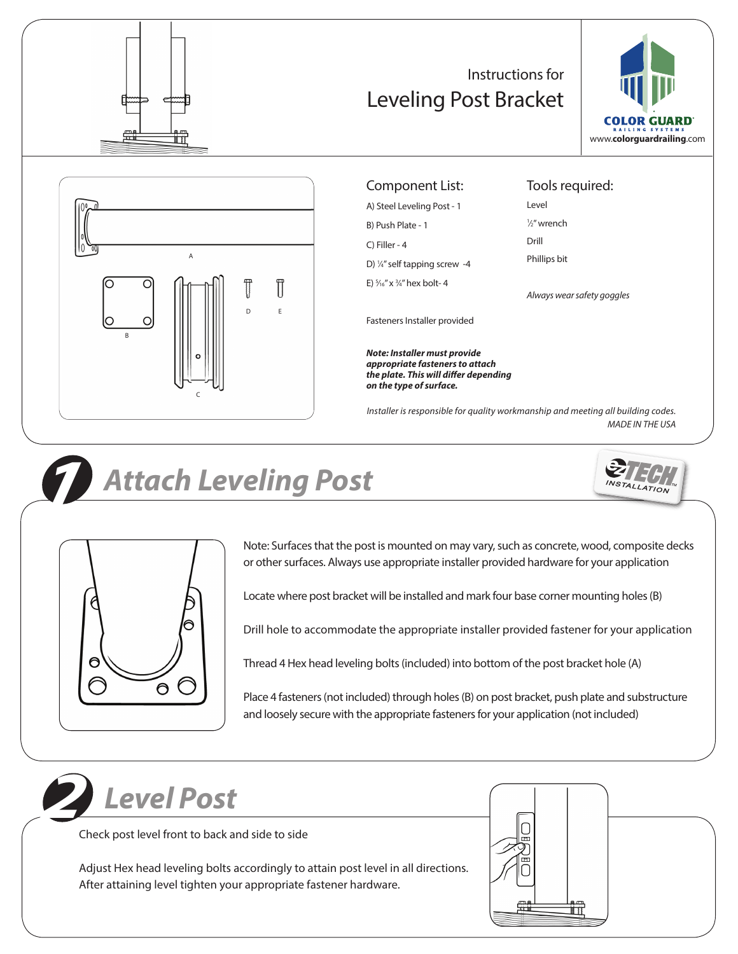

### Instructions for Leveling Post Bracket





### Component List:

A) Steel Leveling Post - 1 B) Push Plate - 1 C) Filler - 4 D) 1 ⁄4" self tapping screw -4 E) 5 ⁄16" x 3 ⁄4" hex bolt- 4

Tools required:

Level 1 ⁄2" wrench

Drill

Phillips bit

*Always wear safety goggles*

Fasteners Installer provided

*Note: Installer must provide appropriate fasteners to attach the plate. This will differ depending on the type of surface.* 

*Installer is responsible for quality workmanship and meeting all building codes. MADE IN THE USA*



## *Attach Leveling Post*





Note: Surfaces that the post is mounted on may vary, such as concrete, wood, composite decks or other surfaces. Always use appropriate installer provided hardware for your application

Locate where post bracket will be installed and mark four base corner mounting holes (B)

Drill hole to accommodate the appropriate installer provided fastener for your application

Thread 4 Hex head leveling bolts (included) into bottom of the post bracket hole (A)

Place 4 fasteners (not included) through holes (B) on post bracket, push plate and substructure and loosely secure with the appropriate fasteners for your application (not included)



Check post level front to back and side to side

Adjust Hex head leveling bolts accordingly to attain post level in all directions. After attaining level tighten your appropriate fastener hardware.